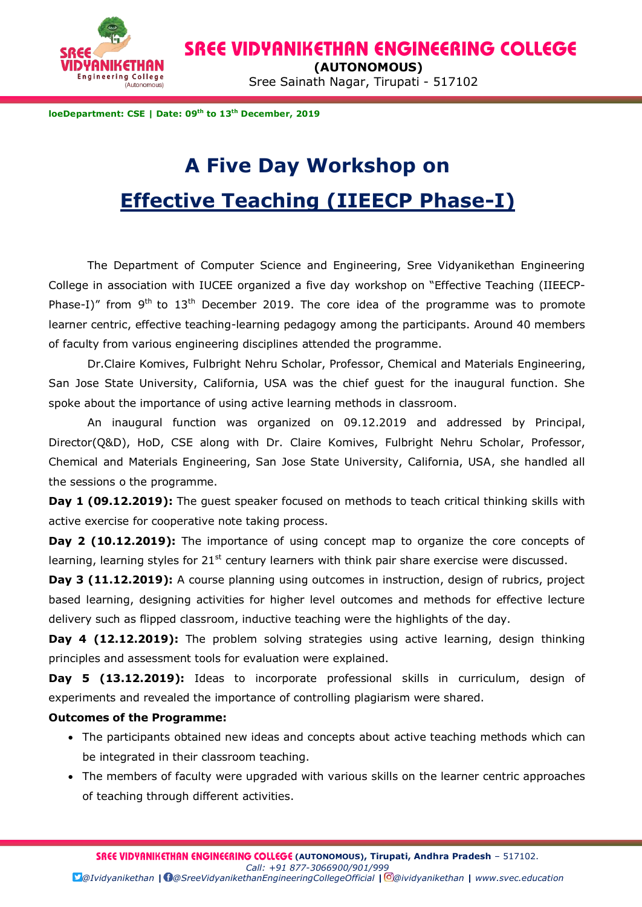

 **(AUTONOMOUS)**

Engineering College **Sainath Nagar, Tirupati - 517102** 

**loeDepartment: CSE | Date: 09 th to 13th December, 2019**

# **A Five Day Workshop on Effective Teaching (IIEECP Phase-I)**

The Department of Computer Science and Engineering, Sree Vidyanikethan Engineering College in association with IUCEE organized a five day workshop on "Effective Teaching (IIEECP-Phase-I)" from  $9<sup>th</sup>$  to  $13<sup>th</sup>$  December 2019. The core idea of the programme was to promote learner centric, effective teaching-learning pedagogy among the participants. Around 40 members of faculty from various engineering disciplines attended the programme.

Dr.Claire Komives, Fulbright Nehru Scholar, Professor, Chemical and Materials Engineering, San Jose State University, California, USA was the chief guest for the inaugural function. She spoke about the importance of using active learning methods in classroom.

An inaugural function was organized on 09.12.2019 and addressed by Principal, Director(Q&D), HoD, CSE along with Dr. Claire Komives, Fulbright Nehru Scholar, Professor, Chemical and Materials Engineering, San Jose State University, California, USA, she handled all the sessions o the programme.

**Day 1 (09.12.2019):** The guest speaker focused on methods to teach critical thinking skills with active exercise for cooperative note taking process.

**Day 2 (10.12.2019):** The importance of using concept map to organize the core concepts of learning, learning styles for  $21<sup>st</sup>$  century learners with think pair share exercise were discussed.

**Day 3 (11.12.2019):** A course planning using outcomes in instruction, design of rubrics, project based learning, designing activities for higher level outcomes and methods for effective lecture delivery such as flipped classroom, inductive teaching were the highlights of the day.

**Day 4 (12.12.2019):** The problem solving strategies using active learning, design thinking principles and assessment tools for evaluation were explained.

**Day 5 (13.12.2019):** Ideas to incorporate professional skills in curriculum, design of experiments and revealed the importance of controlling plagiarism were shared.

#### **Outcomes of the Programme:**

- The participants obtained new ideas and concepts about active teaching methods which can be integrated in their classroom teaching.
- The members of faculty were upgraded with various skills on the learner centric approaches of teaching through different activities.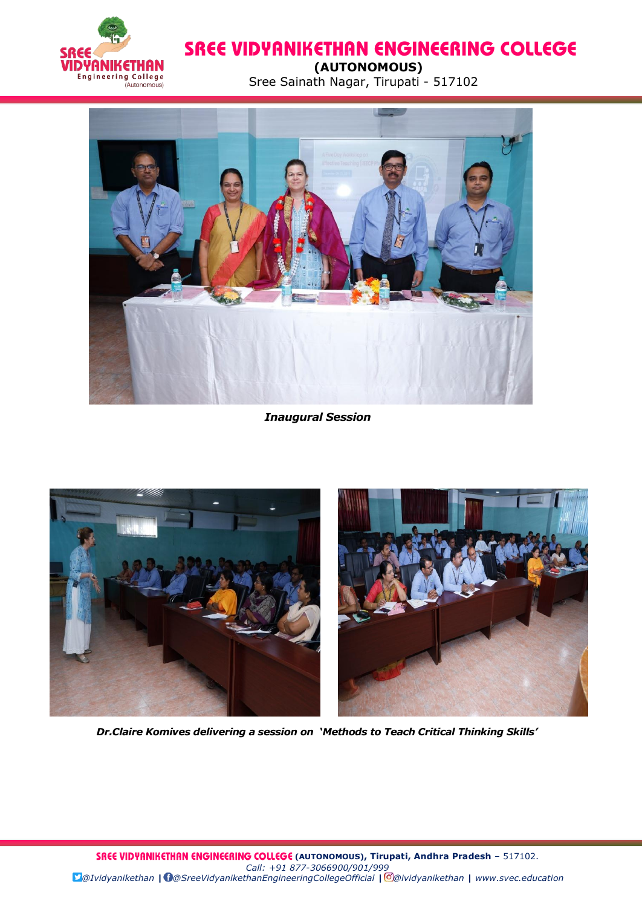

 **(AUTONOMOUS)**

Engineering College<br>
(AU CIVICI-IUS) Sree Sainath Nagar, Tirupati - 517102



#### *Inaugural Session*



*Dr.Claire Komives delivering a session on 'Methods to Teach Critical Thinking Skills'*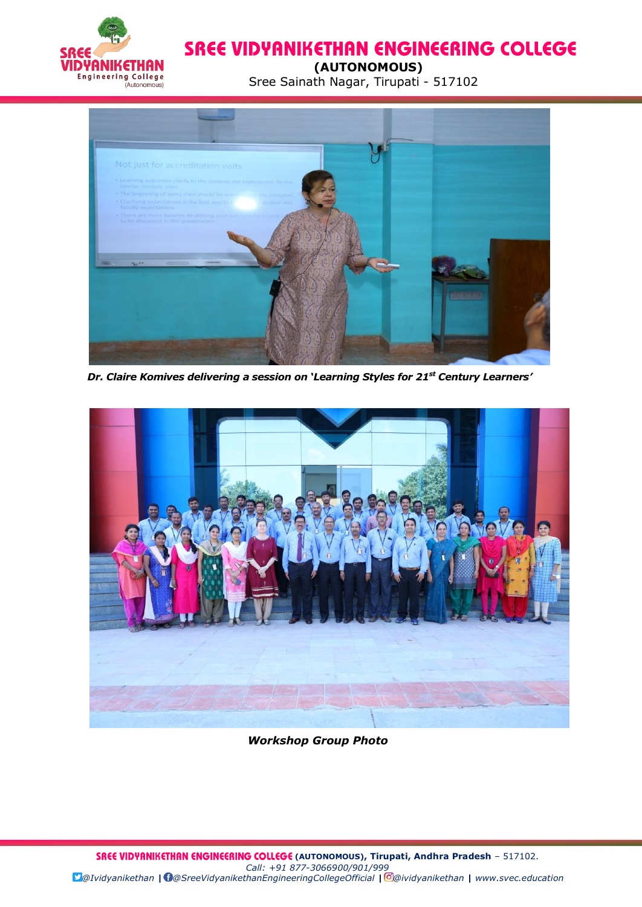

 **(AUTONOMOUS)**

Engineering College<br>
(AU CIVICI-IUS) Sree Sainath Nagar, Tirupati - 517102



*Dr. Claire Komives delivering a session on 'Learning Styles for 21st Century Learners'*



*Workshop Group Photo*